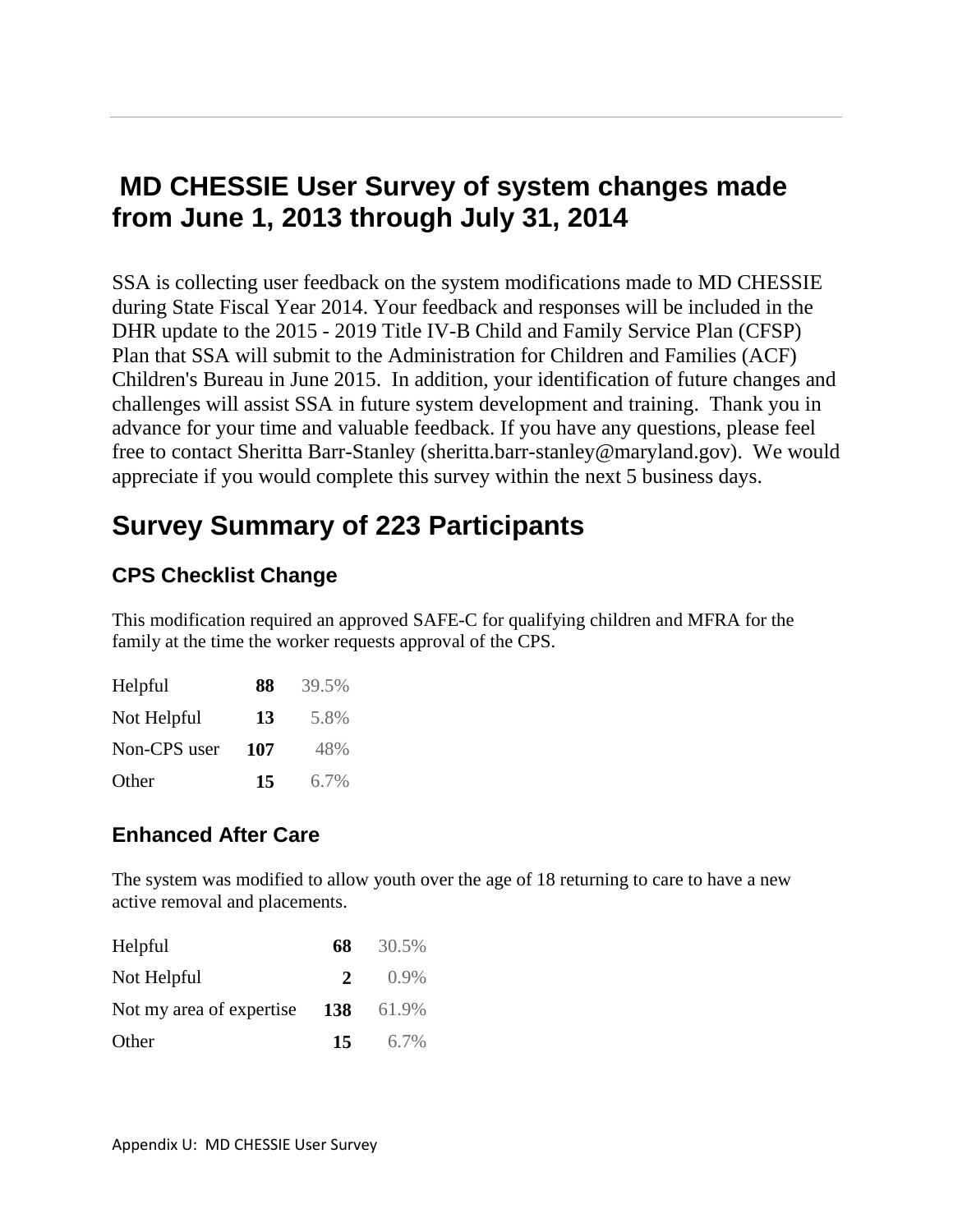# **MD CHESSIE User Survey of system changes made from June 1, 2013 through July 31, 2014**

SSA is collecting user feedback on the system modifications made to MD CHESSIE during State Fiscal Year 2014. Your feedback and responses will be included in the DHR update to the 2015 - 2019 Title IV-B Child and Family Service Plan (CFSP) Plan that SSA will submit to the Administration for Children and Families (ACF) Children's Bureau in June 2015. In addition, your identification of future changes and challenges will assist SSA in future system development and training. Thank you in advance for your time and valuable feedback. If you have any questions, please feel free to contact Sheritta Barr-Stanley (sheritta.barr-stanley@maryland.gov). We would appreciate if you would complete this survey within the next 5 business days.

# **Survey Summary of 223 Participants**

## **CPS Checklist Change**

This modification required an approved SAFE-C for qualifying children and MFRA for the family at the time the worker requests approval of the CPS.

| Helpful      | 88  | 39.5%   |
|--------------|-----|---------|
| Not Helpful  | 13  | 5.8%    |
| Non-CPS user | 107 | 48%     |
| Other        | 15  | $6.7\%$ |

## **Enhanced After Care**

The system was modified to allow youth over the age of 18 returning to care to have a new active removal and placements.

| Helpful                  | 68          | 30.5%   |
|--------------------------|-------------|---------|
| Not Helpful              | $2^{\circ}$ | $0.9\%$ |
| Not my area of expertise | <b>138</b>  | 61.9%   |
| Other                    | 15          | 6.7%    |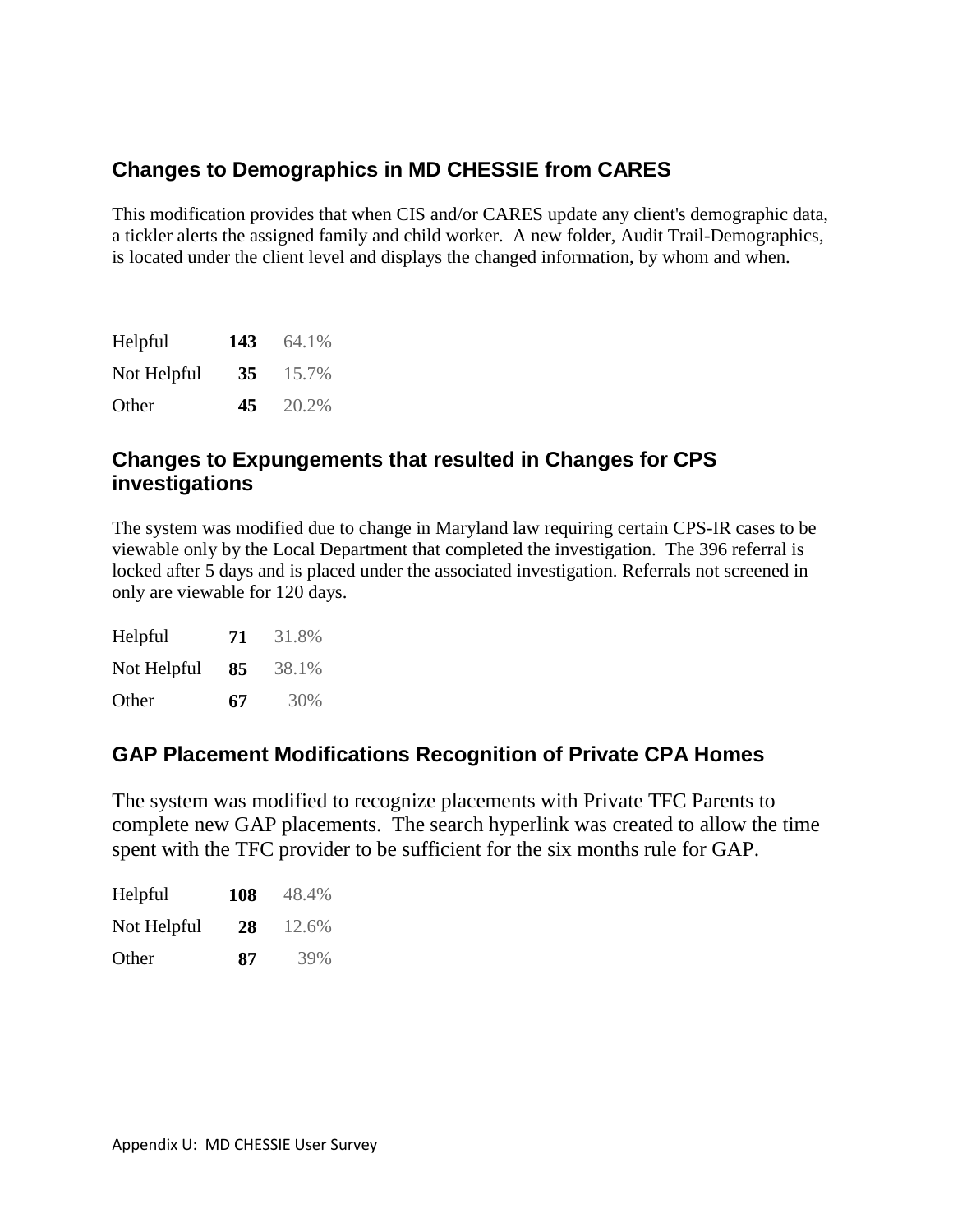## **Changes to Demographics in MD CHESSIE from CARES**

This modification provides that when CIS and/or CARES update any client's demographic data, a tickler alerts the assigned family and child worker. A new folder, Audit Trail-Demographics, is located under the client level and displays the changed information, by whom and when.

| Helpful     | 143 | 64.1% |
|-------------|-----|-------|
| Not Helpful | 35  | 15.7% |
| Other       | 45  | 20.2% |

#### **Changes to Expungements that resulted in Changes for CPS investigations**

The system was modified due to change in Maryland law requiring certain CPS-IR cases to be viewable only by the Local Department that completed the investigation. The 396 referral is locked after 5 days and is placed under the associated investigation. Referrals not screened in only are viewable for 120 days.

| Helpful     | 71 | 31.8% |
|-------------|----|-------|
| Not Helpful | 85 | 38.1% |
| Other       | 67 | 30%   |

## **GAP Placement Modifications Recognition of Private CPA Homes**

The system was modified to recognize placements with Private TFC Parents to complete new GAP placements. The search hyperlink was created to allow the time spent with the TFC provider to be sufficient for the six months rule for GAP.

| Helpful     | 108 | 48.4% |
|-------------|-----|-------|
| Not Helpful | 28  | 12.6% |
| Other       | 87  | 39%   |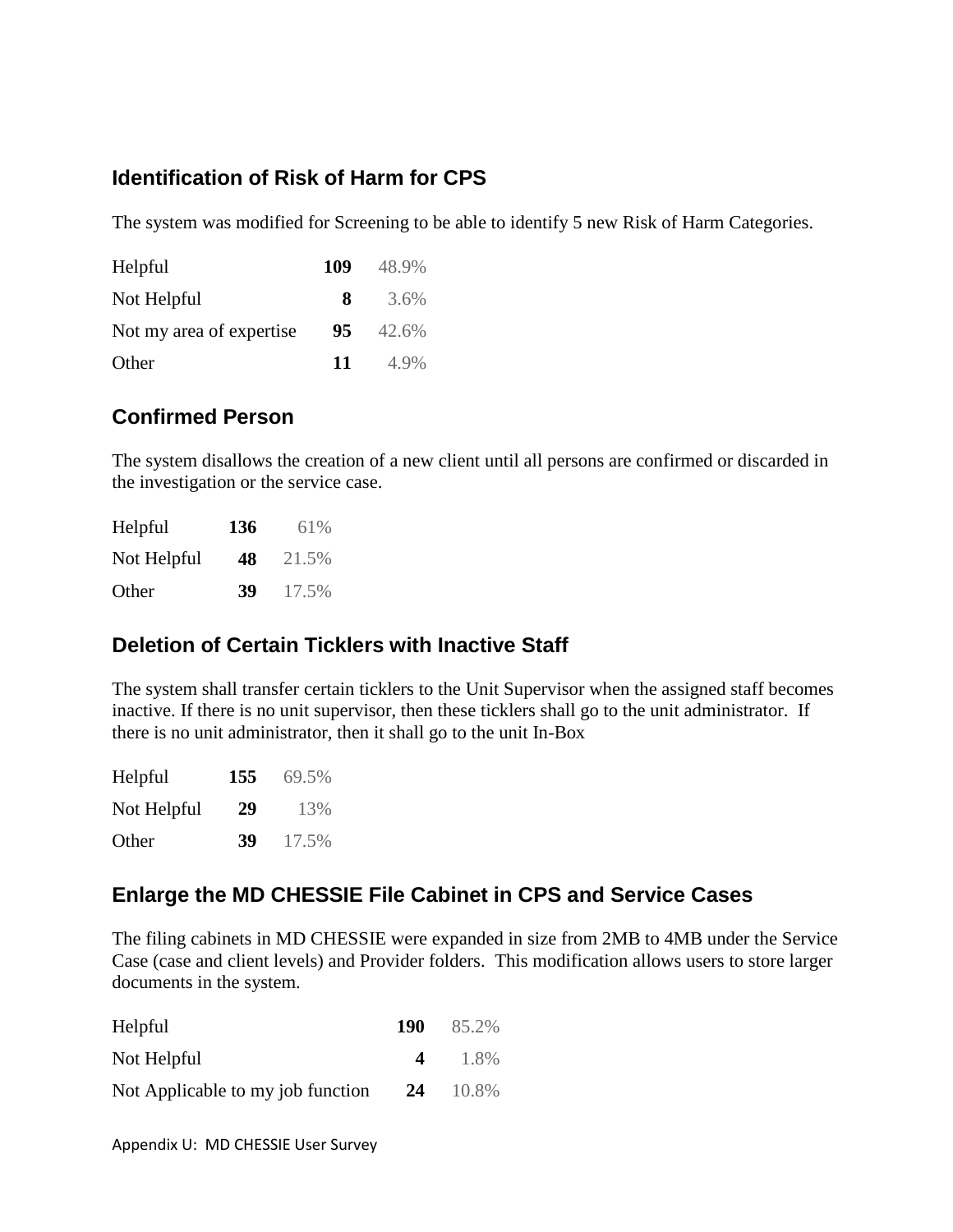## **Identification of Risk of Harm for CPS**

The system was modified for Screening to be able to identify 5 new Risk of Harm Categories.

| Helpful                  | 109 | 48.9% |
|--------------------------|-----|-------|
| Not Helpful              | 8.  | 3.6%  |
| Not my area of expertise | 95  | 42.6% |
| Other                    | 11  | 4.9%  |

## **Confirmed Person**

The system disallows the creation of a new client until all persons are confirmed or discarded in the investigation or the service case.

| Helpful     | 136 | 61%   |
|-------------|-----|-------|
| Not Helpful | 48  | 21.5% |
| Other       | 39  | 17.5% |

## **Deletion of Certain Ticklers with Inactive Staff**

The system shall transfer certain ticklers to the Unit Supervisor when the assigned staff becomes inactive. If there is no unit supervisor, then these ticklers shall go to the unit administrator. If there is no unit administrator, then it shall go to the unit In-Box

| Helpful     | 155 | 69.5% |
|-------------|-----|-------|
| Not Helpful | 29  | 13%   |
| Other       | 39  | 17.5% |

#### **Enlarge the MD CHESSIE File Cabinet in CPS and Service Cases**

The filing cabinets in MD CHESSIE were expanded in size from 2MB to 4MB under the Service Case (case and client levels) and Provider folders. This modification allows users to store larger documents in the system.

| Helpful                           | 190      | 85.2% |
|-----------------------------------|----------|-------|
| Not Helpful                       | $\Delta$ | 1.8%  |
| Not Applicable to my job function | 24       | 10.8% |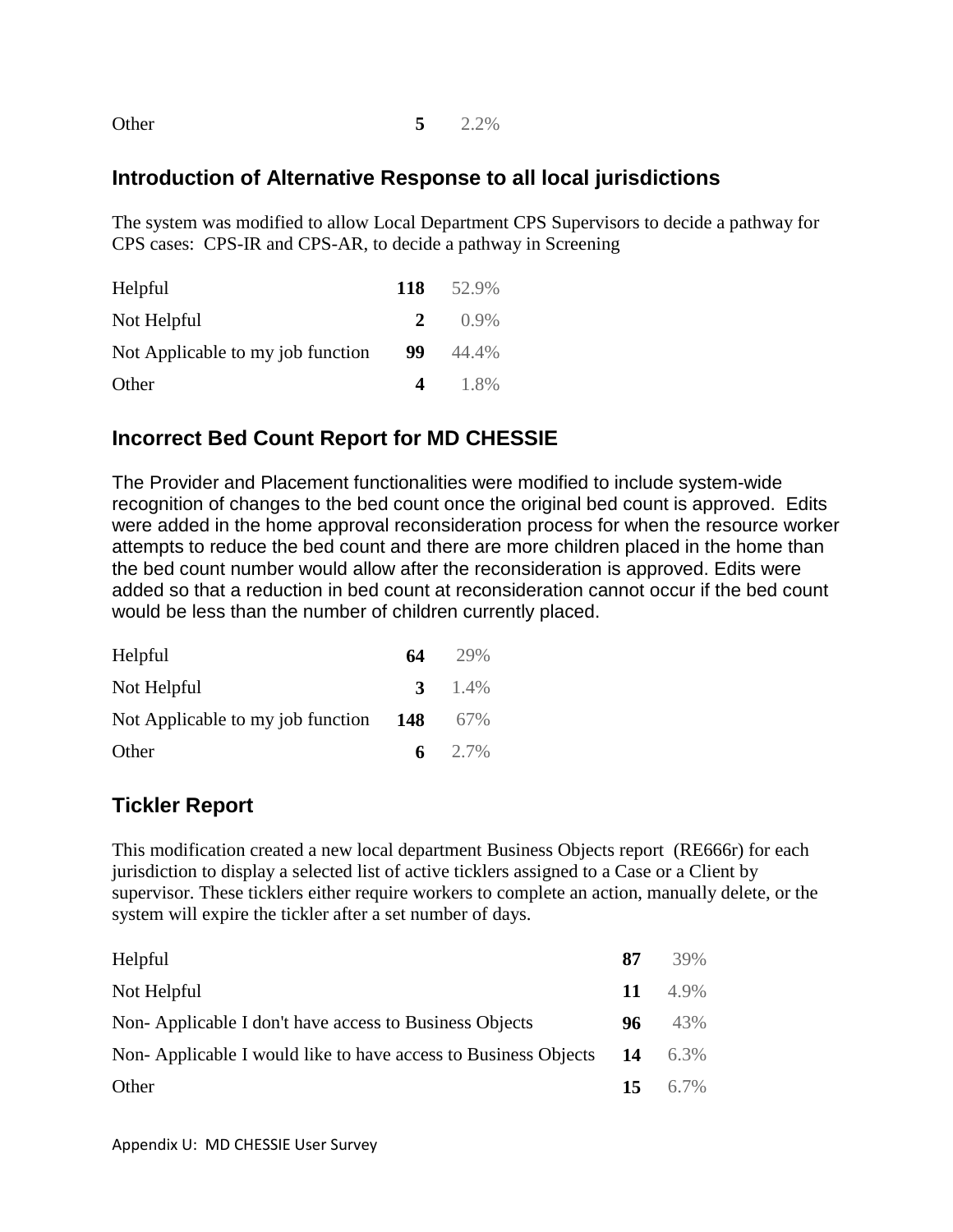Other **5** 2.2%

#### **Introduction of Alternative Response to all local jurisdictions**

The system was modified to allow Local Department CPS Supervisors to decide a pathway for CPS cases: CPS-IR and CPS-AR, to decide a pathway in Screening

| Helpful                           | 118         | 52.9%   |
|-----------------------------------|-------------|---------|
| Not Helpful                       | $2^{\circ}$ | $0.9\%$ |
| Not Applicable to my job function | 99          | 44.4%   |
| Other                             | $\Delta$    | 1.8%    |

#### **Incorrect Bed Count Report for MD CHESSIE**

The Provider and Placement functionalities were modified to include system-wide recognition of changes to the bed count once the original bed count is approved. Edits were added in the home approval reconsideration process for when the resource worker attempts to reduce the bed count and there are more children placed in the home than the bed count number would allow after the reconsideration is approved. Edits were added so that a reduction in bed count at reconsideration cannot occur if the bed count would be less than the number of children currently placed.

| Helpful                               | 64 | 29%       |
|---------------------------------------|----|-----------|
| Not Helpful                           |    | 3 $1.4\%$ |
| Not Applicable to my job function 148 |    | 67%       |
| Other                                 |    | 6 2.7%    |

#### **Tickler Report**

This modification created a new local department Business Objects report (RE666r) for each jurisdiction to display a selected list of active ticklers assigned to a Case or a Client by supervisor. These ticklers either require workers to complete an action, manually delete, or the system will expire the tickler after a set number of days.

| Helpful                                                        | 87  | 39%  |
|----------------------------------------------------------------|-----|------|
| Not Helpful                                                    | 11  | 4.9% |
| Non-Applicable I don't have access to Business Objects         | 96  | 43%  |
| Non-Applicable I would like to have access to Business Objects | 14  | 6.3% |
| Other                                                          | 15. | 6.7% |